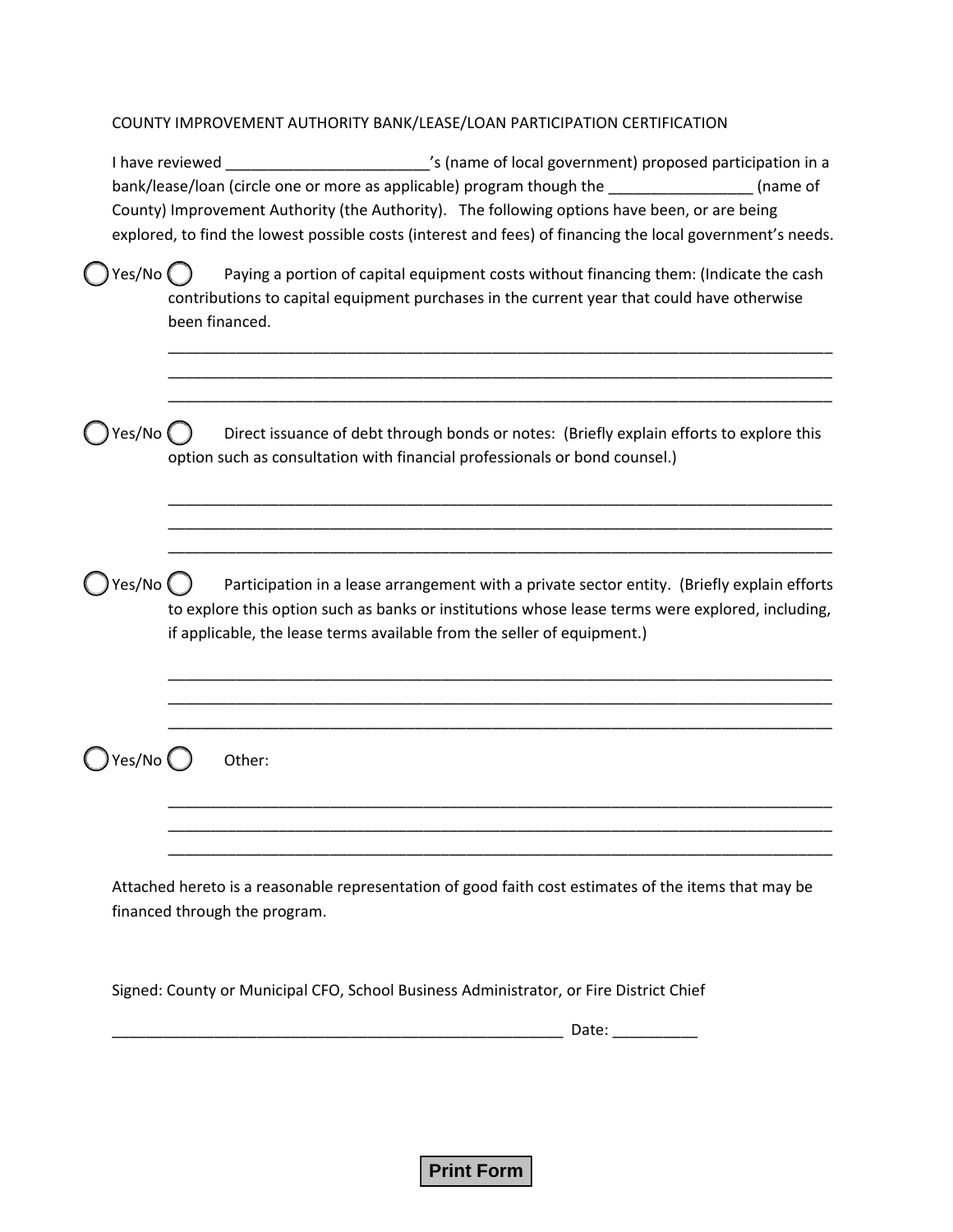## COUNTY IMPROVEMENT AUTHORITY BANK/LEASE/LOAN PARTICIPATION CERTIFICATION

|        | I have reviewed | s (name of local government) proposed participation in a<br>bank/lease/loan (circle one or more as applicable) program though the<br>(name of<br>County) Improvement Authority (the Authority). The following options have been, or are being<br>explored, to find the lowest possible costs (interest and fees) of financing the local government's needs. |
|--------|-----------------|-------------------------------------------------------------------------------------------------------------------------------------------------------------------------------------------------------------------------------------------------------------------------------------------------------------------------------------------------------------|
| Yes/No | been financed.  | Paying a portion of capital equipment costs without financing them: (Indicate the cash<br>contributions to capital equipment purchases in the current year that could have otherwise                                                                                                                                                                        |
| Yes/No |                 | Direct issuance of debt through bonds or notes: (Briefly explain efforts to explore this<br>option such as consultation with financial professionals or bond counsel.)                                                                                                                                                                                      |
| Yes/No |                 | Participation in a lease arrangement with a private sector entity. (Briefly explain efforts<br>to explore this option such as banks or institutions whose lease terms were explored, including,<br>if applicable, the lease terms available from the seller of equipment.)                                                                                  |
| es/No  |                 | Other:                                                                                                                                                                                                                                                                                                                                                      |
|        |                 | Attached hereto is a reasonable representation of good faith cost estimates of the items that may be<br>financed through the program.                                                                                                                                                                                                                       |
|        |                 | Signed: County or Municipal CFO, School Business Administrator, or Fire District Chief<br>Date: ___________                                                                                                                                                                                                                                                 |

**Print Form**